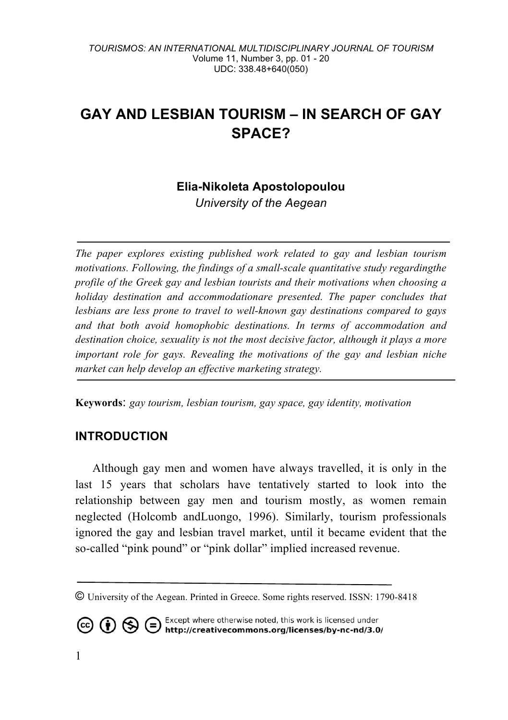# **GAY AND LESBIAN TOURISM – IN SEARCH OF GAY SPACE?**

# **Elia-Nikoleta Apostolopoulou**

*University of the Aegean*

*The paper explores existing published work related to gay and lesbian tourism motivations. Following, the findings of a small-scale quantitative study regardingthe profile of the Greek gay and lesbian tourists and their motivations when choosing a holiday destination and accommodationare presented. The paper concludes that lesbians are less prone to travel to well-known gay destinations compared to gays and that both avoid homophobic destinations. In terms of accommodation and destination choice, sexuality is not the most decisive factor, although it plays a more important role for gays. Revealing the motivations of the gay and lesbian niche market can help develop an effective marketing strategy.* 

**Keywords**: *gay tourism, lesbian tourism, gay space, gay identity, motivation*

### **INTRODUCTION**

Although gay men and women have always travelled, it is only in the last 15 years that scholars have tentatively started to look into the relationship between gay men and tourism mostly, as women remain neglected (Holcomb andLuongo, 1996). Similarly, tourism professionals ignored the gay and lesbian travel market, until it became evident that the so-called "pink pound" or "pink dollar" implied increased revenue.

**CO (b)**  $\bigoplus$  **C** Except where otherwise noted, this work is licensed under **http://creativecommons.org/licenses/by-nc-nd/3.0/** 

<sup>©</sup> University of the Aegean. Printed in Greece. Some rights reserved. ISSN: 1790-8418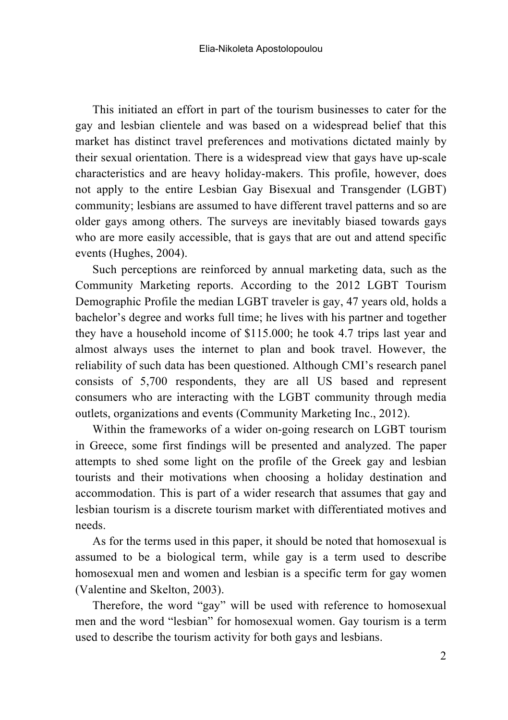This initiated an effort in part of the tourism businesses to cater for the gay and lesbian clientele and was based on a widespread belief that this market has distinct travel preferences and motivations dictated mainly by their sexual orientation. There is a widespread view that gays have up-scale characteristics and are heavy holiday-makers. This profile, however, does not apply to the entire Lesbian Gay Bisexual and Transgender (LGBT) community; lesbians are assumed to have different travel patterns and so are older gays among others. The surveys are inevitably biased towards gays who are more easily accessible, that is gays that are out and attend specific events (Hughes, 2004).

Such perceptions are reinforced by annual marketing data, such as the Community Marketing reports. According to the 2012 LGBT Tourism Demographic Profile the median LGBT traveler is gay, 47 years old, holds a bachelor's degree and works full time; he lives with his partner and together they have a household income of \$115.000; he took 4.7 trips last year and almost always uses the internet to plan and book travel. However, the reliability of such data has been questioned. Although CMI's research panel consists of 5,700 respondents, they are all US based and represent consumers who are interacting with the LGBT community through media outlets, organizations and events (Community Marketing Inc., 2012).

Within the frameworks of a wider on-going research on LGBT tourism in Greece, some first findings will be presented and analyzed. The paper attempts to shed some light on the profile of the Greek gay and lesbian tourists and their motivations when choosing a holiday destination and accommodation. This is part of a wider research that assumes that gay and lesbian tourism is a discrete tourism market with differentiated motives and needs.

As for the terms used in this paper, it should be noted that homosexual is assumed to be a biological term, while gay is a term used to describe homosexual men and women and lesbian is a specific term for gay women (Valentine and Skelton, 2003).

Therefore, the word "gay" will be used with reference to homosexual men and the word "lesbian" for homosexual women. Gay tourism is a term used to describe the tourism activity for both gays and lesbians.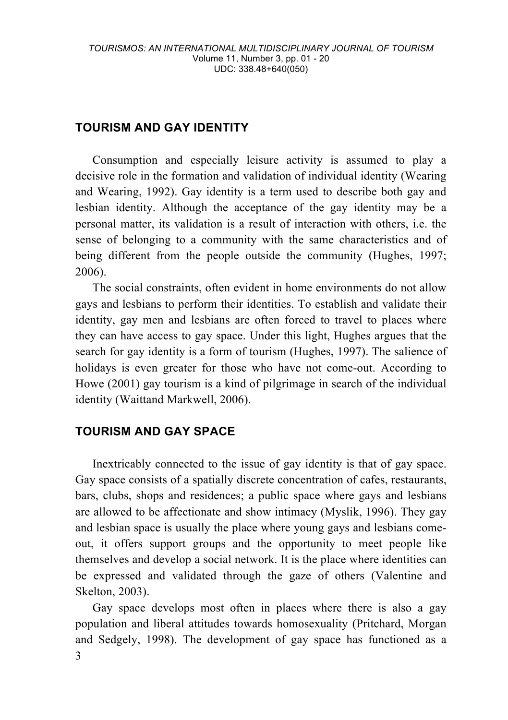# **TOURISM AND GAY IDENTITY**

Consumption and especially leisure activity is assumed to play a decisive role in the formation and validation of individual identity (Wearing and Wearing, 1992). Gay identity is a term used to describe both gay and lesbian identity. Although the acceptance of the gay identity may be a personal matter, its validation is a result of interaction with others, i.e. the sense of belonging to a community with the same characteristics and of being different from the people outside the community (Hughes, 1997; 2006).

The social constraints, often evident in home environments do not allow gays and lesbians to perform their identities. To establish and validate their identity, gay men and lesbians are often forced to travel to places where they can have access to gay space. Under this light, Hughes argues that the search for gay identity is a form of tourism (Hughes, 1997). The salience of holidays is even greater for those who have not come-out. According to Howe (2001) gay tourism is a kind of pilgrimage in search of the individual identity (Waittand Markwell, 2006).

### **TOURISM AND GAY SPACE**

Inextricably connected to the issue of gay identity is that of gay space. Gay space consists of a spatially discrete concentration of cafes, restaurants, bars, clubs, shops and residences; a public space where gays and lesbians are allowed to be affectionate and show intimacy (Myslik, 1996). They gay and lesbian space is usually the place where young gays and lesbians comeout, it offers support groups and the opportunity to meet people like themselves and develop a social network. It is the place where identities can be expressed and validated through the gaze of others (Valentine and Skelton, 2003).

3 Gay space develops most often in places where there is also a gay population and liberal attitudes towards homosexuality (Pritchard, Morgan and Sedgely, 1998). The development of gay space has functioned as a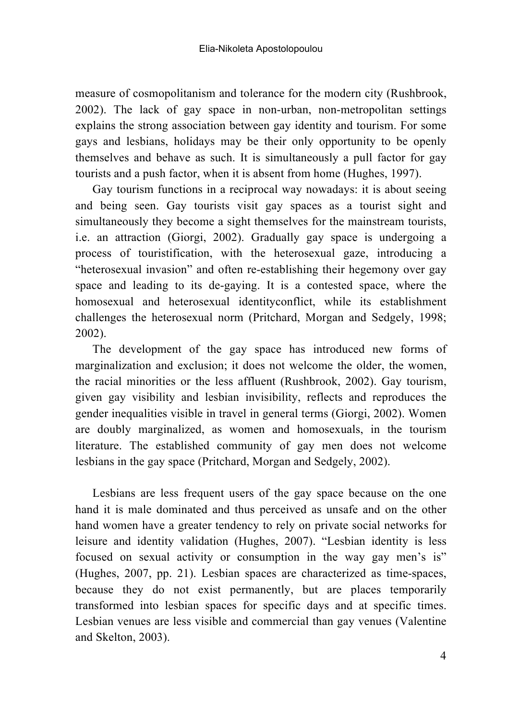measure of cosmopolitanism and tolerance for the modern city (Rushbrook, 2002). The lack of gay space in non-urban, non-metropolitan settings explains the strong association between gay identity and tourism. For some gays and lesbians, holidays may be their only opportunity to be openly themselves and behave as such. It is simultaneously a pull factor for gay tourists and a push factor, when it is absent from home (Hughes, 1997).

Gay tourism functions in a reciprocal way nowadays: it is about seeing and being seen. Gay tourists visit gay spaces as a tourist sight and simultaneously they become a sight themselves for the mainstream tourists, i.e. an attraction (Giorgi, 2002). Gradually gay space is undergoing a process of touristification, with the heterosexual gaze, introducing a "heterosexual invasion" and often re-establishing their hegemony over gay space and leading to its de-gaying. It is a contested space, where the homosexual and heterosexual identityconflict, while its establishment challenges the heterosexual norm (Pritchard, Morgan and Sedgely, 1998; 2002).

The development of the gay space has introduced new forms of marginalization and exclusion; it does not welcome the older, the women, the racial minorities or the less affluent (Rushbrook, 2002). Gay tourism, given gay visibility and lesbian invisibility, reflects and reproduces the gender inequalities visible in travel in general terms (Giorgi, 2002). Women are doubly marginalized, as women and homosexuals, in the tourism literature. The established community of gay men does not welcome lesbians in the gay space (Pritchard, Morgan and Sedgely, 2002).

Lesbians are less frequent users of the gay space because on the one hand it is male dominated and thus perceived as unsafe and on the other hand women have a greater tendency to rely on private social networks for leisure and identity validation (Hughes, 2007). "Lesbian identity is less focused on sexual activity or consumption in the way gay men's is" (Hughes, 2007, pp. 21). Lesbian spaces are characterized as time-spaces, because they do not exist permanently, but are places temporarily transformed into lesbian spaces for specific days and at specific times. Lesbian venues are less visible and commercial than gay venues (Valentine and Skelton, 2003).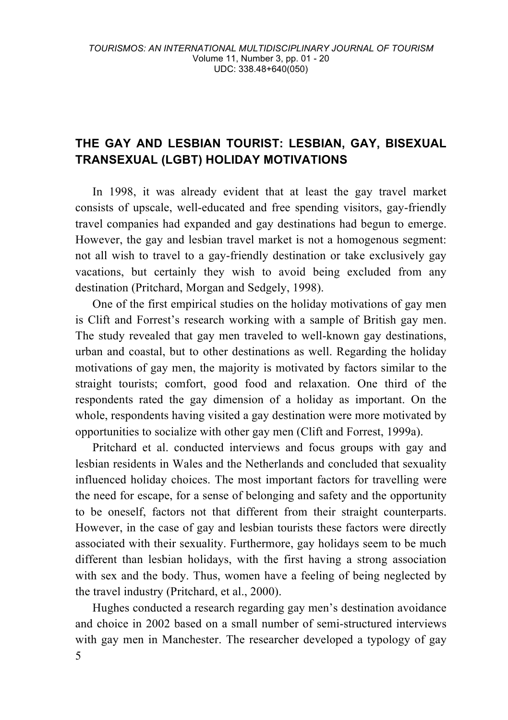# **THE GAY AND LESBIAN TOURIST: LESBIAN, GAY, BISEXUAL TRANSEXUAL (LGBT) HOLIDAY MOTIVATIONS**

In 1998, it was already evident that at least the gay travel market consists of upscale, well-educated and free spending visitors, gay-friendly travel companies had expanded and gay destinations had begun to emerge. However, the gay and lesbian travel market is not a homogenous segment: not all wish to travel to a gay-friendly destination or take exclusively gay vacations, but certainly they wish to avoid being excluded from any destination (Pritchard, Morgan and Sedgely, 1998).

One of the first empirical studies on the holiday motivations of gay men is Clift and Forrest's research working with a sample of British gay men. The study revealed that gay men traveled to well-known gay destinations, urban and coastal, but to other destinations as well. Regarding the holiday motivations of gay men, the majority is motivated by factors similar to the straight tourists; comfort, good food and relaxation. One third of the respondents rated the gay dimension of a holiday as important. On the whole, respondents having visited a gay destination were more motivated by opportunities to socialize with other gay men (Clift and Forrest, 1999a).

Pritchard et al. conducted interviews and focus groups with gay and lesbian residents in Wales and the Netherlands and concluded that sexuality influenced holiday choices. The most important factors for travelling were the need for escape, for a sense of belonging and safety and the opportunity to be oneself, factors not that different from their straight counterparts. However, in the case of gay and lesbian tourists these factors were directly associated with their sexuality. Furthermore, gay holidays seem to be much different than lesbian holidays, with the first having a strong association with sex and the body. Thus, women have a feeling of being neglected by the travel industry (Pritchard, et al., 2000).

5 Hughes conducted a research regarding gay men's destination avoidance and choice in 2002 based on a small number of semi-structured interviews with gay men in Manchester. The researcher developed a typology of gay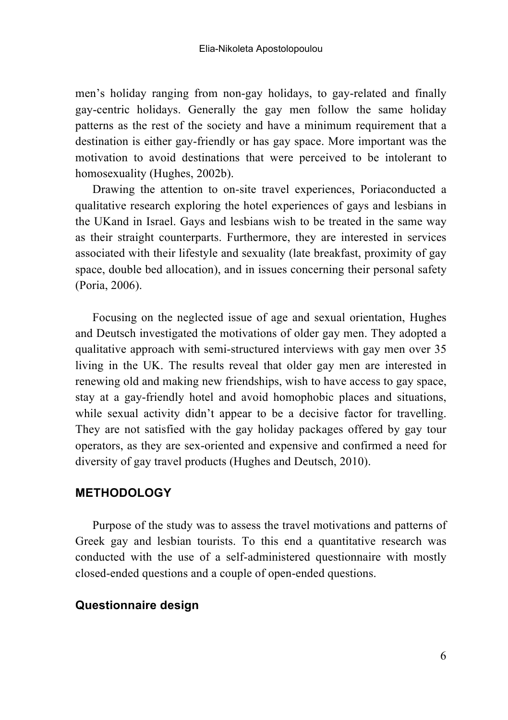men's holiday ranging from non-gay holidays, to gay-related and finally gay-centric holidays. Generally the gay men follow the same holiday patterns as the rest of the society and have a minimum requirement that a destination is either gay-friendly or has gay space. More important was the motivation to avoid destinations that were perceived to be intolerant to homosexuality (Hughes, 2002b).

Drawing the attention to on-site travel experiences, Poriaconducted a qualitative research exploring the hotel experiences of gays and lesbians in the UKand in Israel. Gays and lesbians wish to be treated in the same way as their straight counterparts. Furthermore, they are interested in services associated with their lifestyle and sexuality (late breakfast, proximity of gay space, double bed allocation), and in issues concerning their personal safety (Poria, 2006).

Focusing on the neglected issue of age and sexual orientation, Hughes and Deutsch investigated the motivations of older gay men. They adopted a qualitative approach with semi-structured interviews with gay men over 35 living in the UK. The results reveal that older gay men are interested in renewing old and making new friendships, wish to have access to gay space, stay at a gay-friendly hotel and avoid homophobic places and situations, while sexual activity didn't appear to be a decisive factor for travelling. They are not satisfied with the gay holiday packages offered by gay tour operators, as they are sex-oriented and expensive and confirmed a need for diversity of gay travel products (Hughes and Deutsch, 2010).

#### **METHODOLOGY**

Purpose of the study was to assess the travel motivations and patterns of Greek gay and lesbian tourists. To this end a quantitative research was conducted with the use of a self-administered questionnaire with mostly closed-ended questions and a couple of open-ended questions.

#### **Questionnaire design**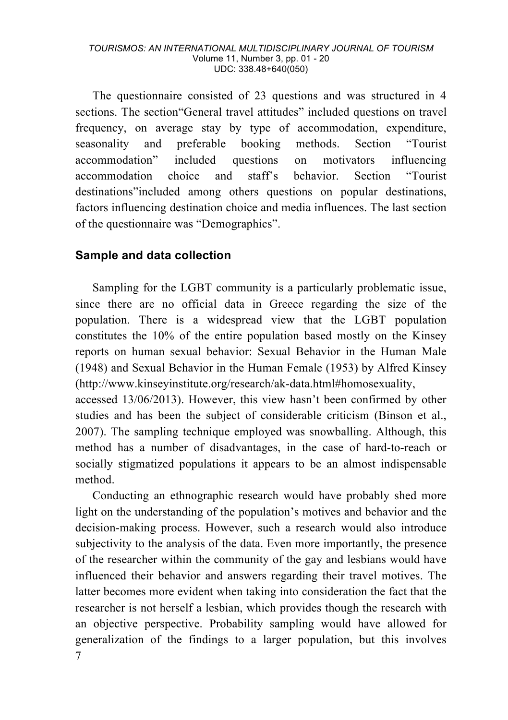#### *TOURISMOS: AN INTERNATIONAL MULTIDISCIPLINARY JOURNAL OF TOURISM* Volume 11, Number 3, pp. 01 - 20 UDC: 338.48+640(050)

The questionnaire consisted of 23 questions and was structured in 4 sections. The section"General travel attitudes" included questions on travel frequency, on average stay by type of accommodation, expenditure, seasonality and preferable booking methods. Section "Tourist accommodation" included questions on motivators influencing accommodation choice and staff's behavior. Section "Tourist destinations"included among others questions on popular destinations, factors influencing destination choice and media influences. The last section of the questionnaire was "Demographics".

#### **Sample and data collection**

Sampling for the LGBT community is a particularly problematic issue, since there are no official data in Greece regarding the size of the population. There is a widespread view that the LGBT population constitutes the 10% of the entire population based mostly on the Kinsey reports on human sexual behavior: Sexual Behavior in the Human Male (1948) and Sexual Behavior in the Human Female (1953) by Alfred Kinsey (http://www.kinseyinstitute.org/research/ak-data.html#homosexuality,

accessed 13/06/2013). However, this view hasn't been confirmed by other studies and has been the subject of considerable criticism (Binson et al., 2007). The sampling technique employed was snowballing. Although, this method has a number of disadvantages, in the case of hard-to-reach or socially stigmatized populations it appears to be an almost indispensable method.

7 Conducting an ethnographic research would have probably shed more light on the understanding of the population's motives and behavior and the decision-making process. However, such a research would also introduce subjectivity to the analysis of the data. Even more importantly, the presence of the researcher within the community of the gay and lesbians would have influenced their behavior and answers regarding their travel motives. The latter becomes more evident when taking into consideration the fact that the researcher is not herself a lesbian, which provides though the research with an objective perspective. Probability sampling would have allowed for generalization of the findings to a larger population, but this involves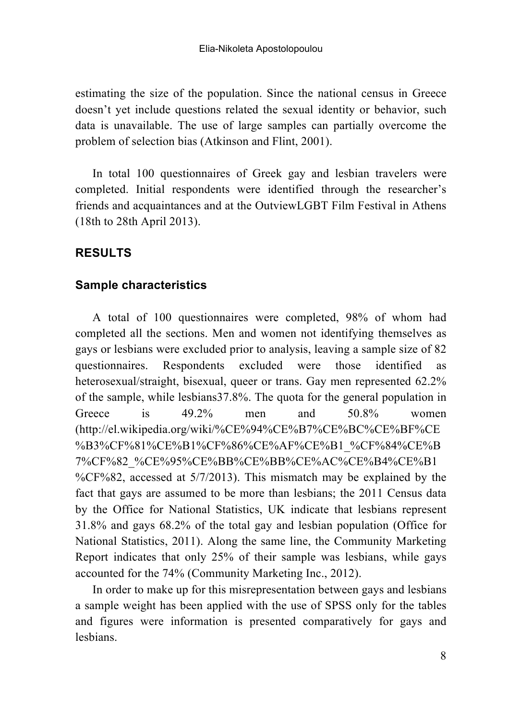estimating the size of the population. Since the national census in Greece doesn't yet include questions related the sexual identity or behavior, such data is unavailable. The use of large samples can partially overcome the problem of selection bias (Atkinson and Flint, 2001).

In total 100 questionnaires of Greek gay and lesbian travelers were completed. Initial respondents were identified through the researcher's friends and acquaintances and at the OutviewLGBT Film Festival in Athens (18th to 28th April 2013).

# **RESULTS**

#### **Sample characteristics**

A total of 100 questionnaires were completed, 98% of whom had completed all the sections. Men and women not identifying themselves as gays or lesbians were excluded prior to analysis, leaving a sample size of 82 questionnaires. Respondents excluded were those identified as heterosexual/straight, bisexual, queer or trans. Gay men represented 62.2% of the sample, while lesbians37.8%. The quota for the general population in Greece is 49.2% men and 50.8% women (http://el.wikipedia.org/wiki/%CE%94%CE%B7%CE%BC%CE%BF%CE %B3%CF%81%CE%B1%CF%86%CE%AF%CE%B1\_%CF%84%CE%B 7%CF%82\_%CE%95%CE%BB%CE%BB%CE%AC%CE%B4%CE%B1 %CF%82, accessed at 5/7/2013). This mismatch may be explained by the fact that gays are assumed to be more than lesbians; the 2011 Census data by the Office for National Statistics, UK indicate that lesbians represent 31.8% and gays 68.2% of the total gay and lesbian population (Office for National Statistics, 2011). Along the same line, the Community Marketing Report indicates that only 25% of their sample was lesbians, while gays accounted for the 74% (Community Marketing Inc., 2012).

In order to make up for this misrepresentation between gays and lesbians a sample weight has been applied with the use of SPSS only for the tables and figures were information is presented comparatively for gays and lesbians.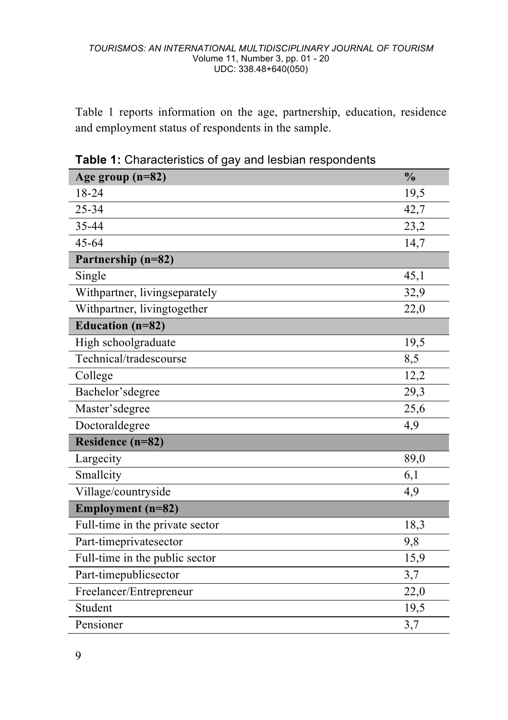Table 1 reports information on the age, partnership, education, residence and employment status of respondents in the sample.

| Age group $(n=82)$              | $\frac{0}{0}$ |
|---------------------------------|---------------|
| 18-24                           | 19,5          |
| 25-34                           | 42,7          |
| 35-44                           | 23,2          |
| $45 - 64$                       | 14,7          |
| Partnership (n=82)              |               |
| Single                          | 45,1          |
| Withpartner, livingseparately   | 32,9          |
| Withpartner, livingtogether     | 22,0          |
| Education (n=82)                |               |
| High schoolgraduate             | 19,5          |
| Technical/tradescourse          | 8,5           |
| College                         | 12,2          |
| Bachelor'sdegree                | 29,3          |
| Master'sdegree                  | 25,6          |
| Doctoraldegree                  | 4,9           |
| Residence (n=82)                |               |
| Largecity                       | 89,0          |
| Smallcity                       | 6,1           |
| Village/countryside             | 4,9           |
| Employment (n=82)               |               |
| Full-time in the private sector | 18,3          |
| Part-timeprivatesector          | 9,8           |
| Full-time in the public sector  | 15,9          |
| Part-timepublicsector           | 3,7           |
| Freelancer/Entrepreneur         | 22,0          |
| Student                         | 19,5          |
| Pensioner                       | 3,7           |

**Table 1:** Characteristics of gay and lesbian respondents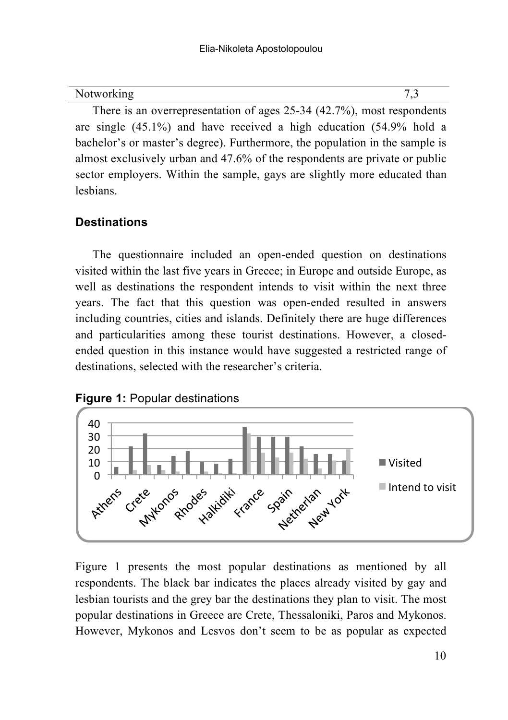| Notworking |  |
|------------|--|
|            |  |

There is an overrepresentation of ages 25-34 (42.7%), most respondents are single (45.1%) and have received a high education (54.9% hold a bachelor's or master's degree). Furthermore, the population in the sample is almost exclusively urban and 47.6% of the respondents are private or public sector employers. Within the sample, gays are slightly more educated than lesbians.

### **Destinations**

The questionnaire included an open-ended question on destinations visited within the last five years in Greece; in Europe and outside Europe, as well as destinations the respondent intends to visit within the next three years. The fact that this question was open-ended resulted in answers including countries, cities and islands. Definitely there are huge differences and particularities among these tourist destinations. However, a closedended question in this instance would have suggested a restricted range of destinations, selected with the researcher's criteria.





Figure 1 presents the most popular destinations as mentioned by all respondents. The black bar indicates the places already visited by gay and lesbian tourists and the grey bar the destinations they plan to visit. The most popular destinations in Greece are Crete, Thessaloniki, Paros and Mykonos. However, Mykonos and Lesvos don't seem to be as popular as expected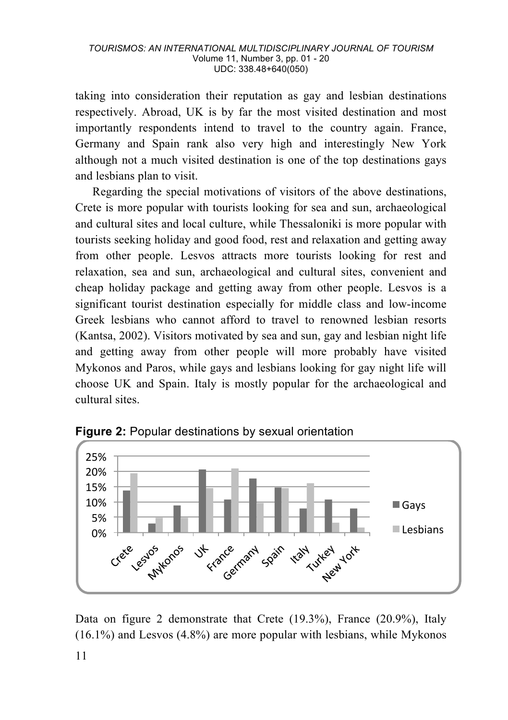taking into consideration their reputation as gay and lesbian destinations respectively. Abroad, UK is by far the most visited destination and most importantly respondents intend to travel to the country again. France, Germany and Spain rank also very high and interestingly New York although not a much visited destination is one of the top destinations gays and lesbians plan to visit.

Regarding the special motivations of visitors of the above destinations, Crete is more popular with tourists looking for sea and sun, archaeological and cultural sites and local culture, while Thessaloniki is more popular with tourists seeking holiday and good food, rest and relaxation and getting away from other people. Lesvos attracts more tourists looking for rest and relaxation, sea and sun, archaeological and cultural sites, convenient and cheap holiday package and getting away from other people. Lesvos is a significant tourist destination especially for middle class and low-income Greek lesbians who cannot afford to travel to renowned lesbian resorts (Kantsa, 2002). Visitors motivated by sea and sun, gay and lesbian night life and getting away from other people will more probably have visited Mykonos and Paros, while gays and lesbians looking for gay night life will choose UK and Spain. Italy is mostly popular for the archaeological and cultural sites.



**Figure 2: Popular destinations by sexual orientation** 

Data on figure 2 demonstrate that Crete (19.3%), France (20.9%), Italy  $(16.1\%)$  and Lesvos  $(4.8\%)$  are more popular with lesbians, while Mykonos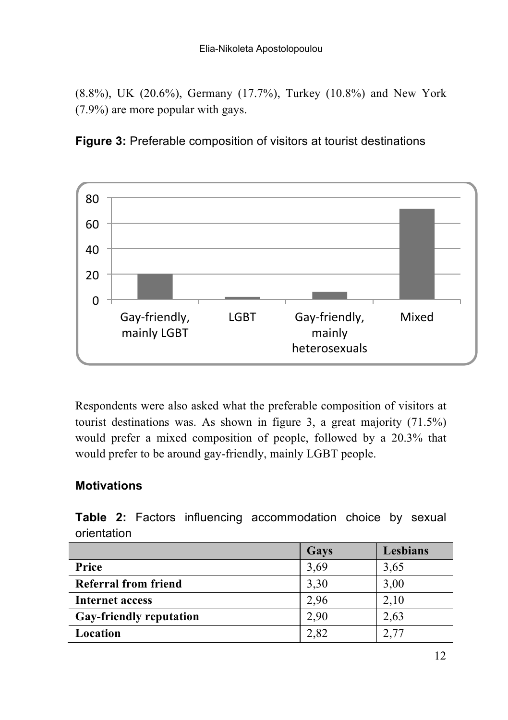(8.8%), UK (20.6%), Germany (17.7%), Turkey (10.8%) and New York (7.9%) are more popular with gays.



**Figure 3:** Preferable composition of visitors at tourist destinations

Respondents were also asked what the preferable composition of visitors at tourist destinations was. As shown in figure 3, a great majority (71.5%) would prefer a mixed composition of people, followed by a 20.3% that would prefer to be around gay-friendly, mainly LGBT people.

## **Motivations**

**Table 2:** Factors influencing accommodation choice by sexual orientation

|                                | Gavs | Lesbians |
|--------------------------------|------|----------|
| Price                          | 3,69 | 3.65     |
| Referral from friend           | 3,30 | 3,00     |
| Internet access                | 2,96 | 2,10     |
| <b>Gay-friendly reputation</b> | 2,90 | 2.63     |
| Location                       | 2,82 | 2,77     |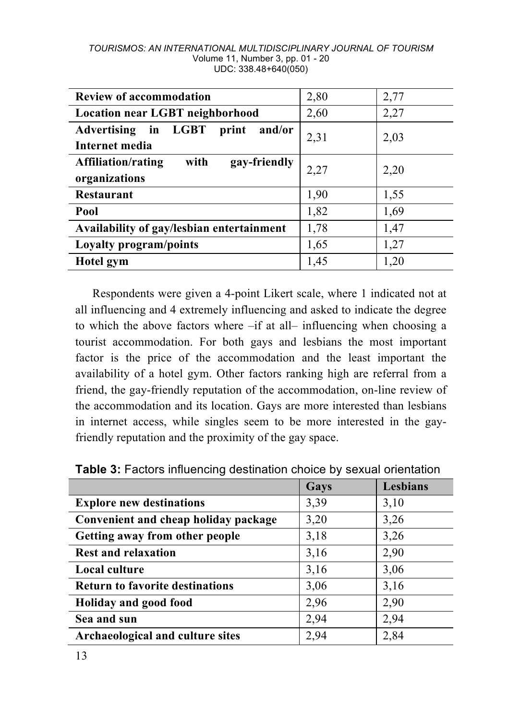#### *TOURISMOS: AN INTERNATIONAL MULTIDISCIPLINARY JOURNAL OF TOURISM* Volume 11, Number 3, pp. 01 - 20 UDC: 338.48+640(050)

| <b>Review of accommodation</b>                              | 2,80 | 2,77 |
|-------------------------------------------------------------|------|------|
| <b>Location near LGBT neighborhood</b>                      | 2,60 | 2,27 |
| Advertising in LGBT<br>print and/or<br>Internet media       | 2,31 | 2,03 |
| with<br>gay-friendly<br>Affiliation/rating<br>organizations | 2,27 | 2,20 |
| <b>Restaurant</b>                                           | 1,90 | 1,55 |
| Pool                                                        | 1,82 | 1,69 |
| Availability of gay/lesbian entertainment                   | 1,78 | 1,47 |
| Loyalty program/points                                      | 1,65 | 1,27 |
| Hotel gym                                                   | 1,45 | 1,20 |

Respondents were given a 4-point Likert scale, where 1 indicated not at all influencing and 4 extremely influencing and asked to indicate the degree to which the above factors where –if at all– influencing when choosing a tourist accommodation. For both gays and lesbians the most important factor is the price of the accommodation and the least important the availability of a hotel gym. Other factors ranking high are referral from a friend, the gay-friendly reputation of the accommodation, on-line review of the accommodation and its location. Gays are more interested than lesbians in internet access, while singles seem to be more interested in the gayfriendly reputation and the proximity of the gay space.

|                                        | Gays | Lesbians |
|----------------------------------------|------|----------|
| <b>Explore new destinations</b>        | 3,39 | 3,10     |
| Convenient and cheap holiday package   | 3,20 | 3,26     |
| Getting away from other people         | 3,18 | 3,26     |
| <b>Rest and relaxation</b>             | 3,16 | 2,90     |
| <b>Local culture</b>                   | 3,16 | 3,06     |
| <b>Return to favorite destinations</b> | 3,06 | 3,16     |
| Holiday and good food                  | 2,96 | 2,90     |
| Sea and sun                            | 2,94 | 2,94     |
| Archaeological and culture sites       | 2,94 | 2,84     |

**Table 3:** Factors influencing destination choice by sexual orientation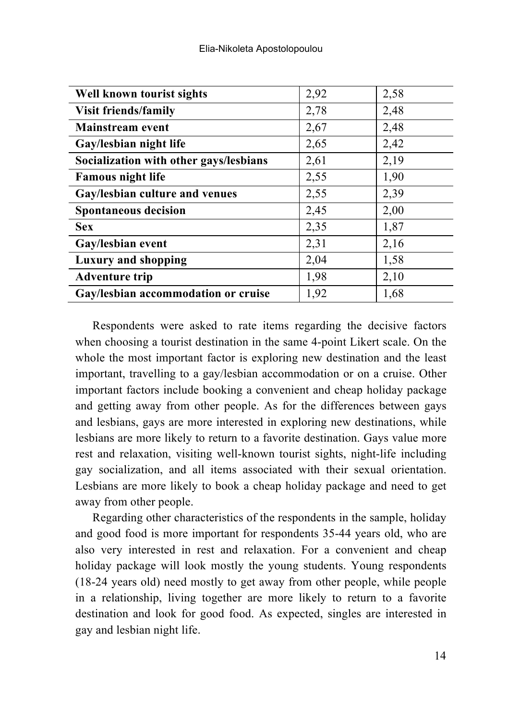| Well known tourist sights              | 2,92 | 2,58 |
|----------------------------------------|------|------|
| <b>Visit friends/family</b>            | 2,78 | 2,48 |
| <b>Mainstream</b> event                | 2,67 | 2,48 |
| Gay/lesbian night life                 | 2,65 | 2,42 |
| Socialization with other gays/lesbians | 2,61 | 2,19 |
| <b>Famous night life</b>               | 2,55 | 1,90 |
| Gay/lesbian culture and venues         | 2,55 | 2,39 |
| <b>Spontaneous decision</b>            | 2,45 | 2,00 |
| <b>Sex</b>                             | 2,35 | 1,87 |
| Gay/lesbian event                      | 2,31 | 2,16 |
| Luxury and shopping                    | 2,04 | 1,58 |
| <b>Adventure trip</b>                  | 1,98 | 2,10 |
| Gay/lesbian accommodation or cruise    | 1,92 | 1,68 |

Respondents were asked to rate items regarding the decisive factors when choosing a tourist destination in the same 4-point Likert scale. On the whole the most important factor is exploring new destination and the least important, travelling to a gay/lesbian accommodation or on a cruise. Other important factors include booking a convenient and cheap holiday package and getting away from other people. As for the differences between gays and lesbians, gays are more interested in exploring new destinations, while lesbians are more likely to return to a favorite destination. Gays value more rest and relaxation, visiting well-known tourist sights, night-life including gay socialization, and all items associated with their sexual orientation. Lesbians are more likely to book a cheap holiday package and need to get away from other people.

Regarding other characteristics of the respondents in the sample, holiday and good food is more important for respondents 35-44 years old, who are also very interested in rest and relaxation. For a convenient and cheap holiday package will look mostly the young students. Young respondents (18-24 years old) need mostly to get away from other people, while people in a relationship, living together are more likely to return to a favorite destination and look for good food. As expected, singles are interested in gay and lesbian night life.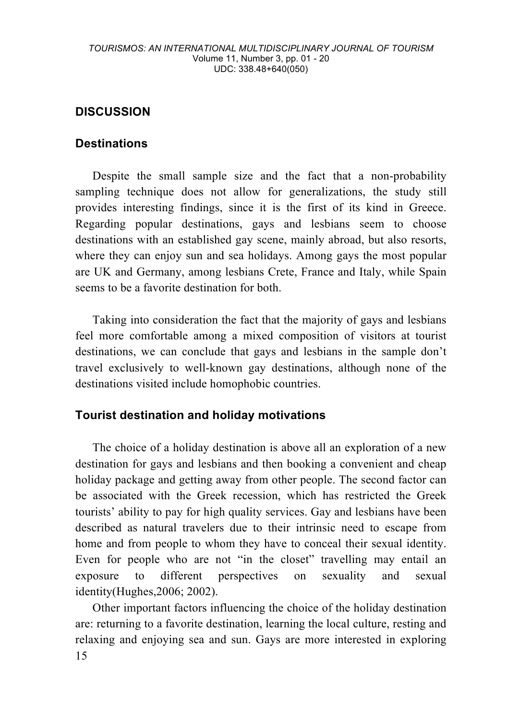### **DISCUSSION**

#### **Destinations**

Despite the small sample size and the fact that a non-probability sampling technique does not allow for generalizations, the study still provides interesting findings, since it is the first of its kind in Greece. Regarding popular destinations, gays and lesbians seem to choose destinations with an established gay scene, mainly abroad, but also resorts, where they can enjoy sun and sea holidays. Among gays the most popular are UK and Germany, among lesbians Crete, France and Italy, while Spain seems to be a favorite destination for both.

Taking into consideration the fact that the majority of gays and lesbians feel more comfortable among a mixed composition of visitors at tourist destinations, we can conclude that gays and lesbians in the sample don't travel exclusively to well-known gay destinations, although none of the destinations visited include homophobic countries.

#### **Tourist destination and holiday motivations**

The choice of a holiday destination is above all an exploration of a new destination for gays and lesbians and then booking a convenient and cheap holiday package and getting away from other people. The second factor can be associated with the Greek recession, which has restricted the Greek tourists' ability to pay for high quality services. Gay and lesbians have been described as natural travelers due to their intrinsic need to escape from home and from people to whom they have to conceal their sexual identity. Even for people who are not "in the closet" travelling may entail an exposure to different perspectives on sexuality and sexual identity(Hughes,2006; 2002).

15 Other important factors influencing the choice of the holiday destination are: returning to a favorite destination, learning the local culture, resting and relaxing and enjoying sea and sun. Gays are more interested in exploring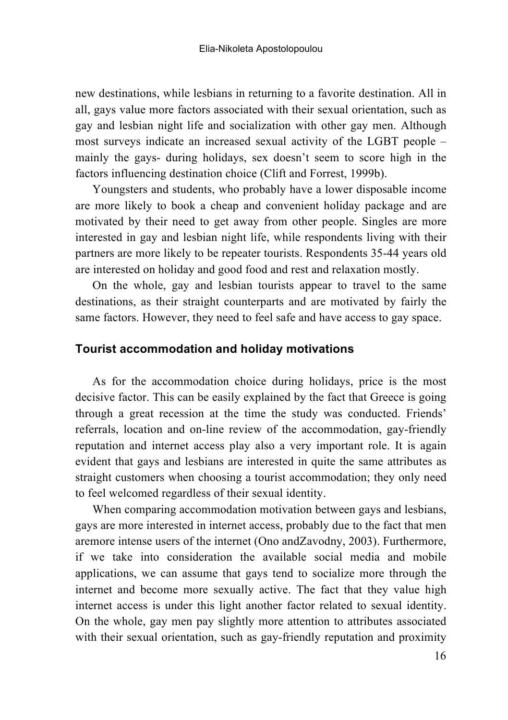new destinations, while lesbians in returning to a favorite destination. All in all, gays value more factors associated with their sexual orientation, such as gay and lesbian night life and socialization with other gay men. Although most surveys indicate an increased sexual activity of the LGBT people – mainly the gays- during holidays, sex doesn't seem to score high in the factors influencing destination choice (Clift and Forrest, 1999b).

Youngsters and students, who probably have a lower disposable income are more likely to book a cheap and convenient holiday package and are motivated by their need to get away from other people. Singles are more interested in gay and lesbian night life, while respondents living with their partners are more likely to be repeater tourists. Respondents 35-44 years old are interested on holiday and good food and rest and relaxation mostly.

On the whole, gay and lesbian tourists appear to travel to the same destinations, as their straight counterparts and are motivated by fairly the same factors. However, they need to feel safe and have access to gay space.

#### **Tourist accommodation and holiday motivations**

As for the accommodation choice during holidays, price is the most decisive factor. This can be easily explained by the fact that Greece is going through a great recession at the time the study was conducted. Friends' referrals, location and on-line review of the accommodation, gay-friendly reputation and internet access play also a very important role. It is again evident that gays and lesbians are interested in quite the same attributes as straight customers when choosing a tourist accommodation; they only need to feel welcomed regardless of their sexual identity.

When comparing accommodation motivation between gays and lesbians, gays are more interested in internet access, probably due to the fact that men aremore intense users of the internet (Ono andZavodny, 2003). Furthermore, if we take into consideration the available social media and mobile applications, we can assume that gays tend to socialize more through the internet and become more sexually active. The fact that they value high internet access is under this light another factor related to sexual identity. On the whole, gay men pay slightly more attention to attributes associated with their sexual orientation, such as gay-friendly reputation and proximity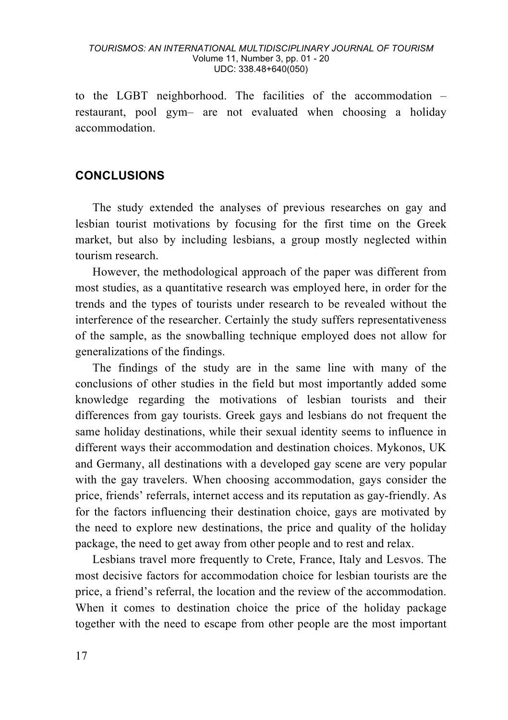#### *TOURISMOS: AN INTERNATIONAL MULTIDISCIPLINARY JOURNAL OF TOURISM* Volume 11, Number 3, pp. 01 - 20 UDC: 338.48+640(050)

to the LGBT neighborhood. The facilities of the accommodation – restaurant, pool gym– are not evaluated when choosing a holiday accommodation.

#### **CONCLUSIONS**

The study extended the analyses of previous researches on gay and lesbian tourist motivations by focusing for the first time on the Greek market, but also by including lesbians, a group mostly neglected within tourism research.

However, the methodological approach of the paper was different from most studies, as a quantitative research was employed here, in order for the trends and the types of tourists under research to be revealed without the interference of the researcher. Certainly the study suffers representativeness of the sample, as the snowballing technique employed does not allow for generalizations of the findings.

The findings of the study are in the same line with many of the conclusions of other studies in the field but most importantly added some knowledge regarding the motivations of lesbian tourists and their differences from gay tourists. Greek gays and lesbians do not frequent the same holiday destinations, while their sexual identity seems to influence in different ways their accommodation and destination choices. Mykonos, UK and Germany, all destinations with a developed gay scene are very popular with the gay travelers. When choosing accommodation, gays consider the price, friends' referrals, internet access and its reputation as gay-friendly. As for the factors influencing their destination choice, gays are motivated by the need to explore new destinations, the price and quality of the holiday package, the need to get away from other people and to rest and relax.

Lesbians travel more frequently to Crete, France, Italy and Lesvos. The most decisive factors for accommodation choice for lesbian tourists are the price, a friend's referral, the location and the review of the accommodation. When it comes to destination choice the price of the holiday package together with the need to escape from other people are the most important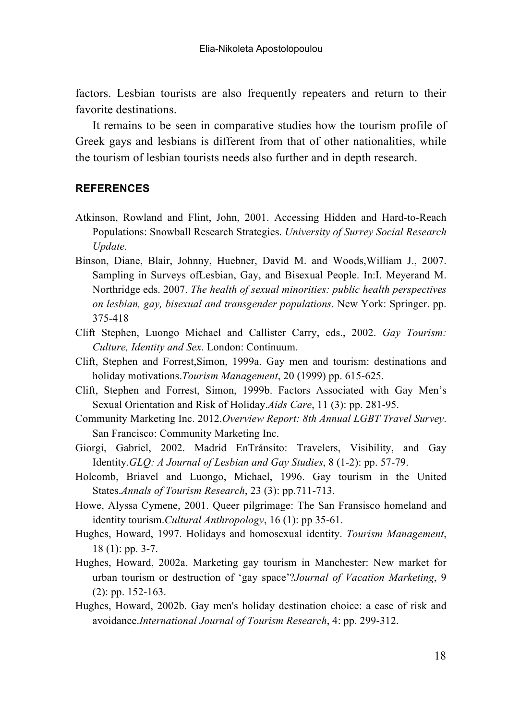factors. Lesbian tourists are also frequently repeaters and return to their favorite destinations.

It remains to be seen in comparative studies how the tourism profile of Greek gays and lesbians is different from that of other nationalities, while the tourism of lesbian tourists needs also further and in depth research.

#### **REFERENCES**

- Atkinson, Rowland and Flint, John, 2001. Accessing Hidden and Hard-to-Reach Populations: Snowball Research Strategies. *University of Surrey Social Research Update.*
- Binson, Diane, Blair, Johnny, Huebner, David M. and Woods,William J., 2007. Sampling in Surveys ofLesbian, Gay, and Bisexual People. In:I. Meyerand M. Northridge eds. 2007. *The health of sexual minorities: public health perspectives on lesbian, gay, bisexual and transgender populations*. New York: Springer. pp. 375-418
- Clift Stephen, Luongo Michael and Callister Carry, eds., 2002. *Gay Tourism: Culture, Identity and Sex*. London: Continuum.
- Clift, Stephen and Forrest,Simon, 1999a. Gay men and tourism: destinations and holiday motivations.*Tourism Management*, 20 (1999) pp. 615-625.
- Clift, Stephen and Forrest, Simon, 1999b. Factors Associated with Gay Men's Sexual Orientation and Risk of Holiday.*Aids Care*, 11 (3): pp. 281-95.
- Community Marketing Inc. 2012.*Overview Report: 8th Annual LGBT Travel Survey*. San Francisco: Community Marketing Inc.
- Giorgi, Gabriel, 2002. Madrid EnTránsito: Travelers, Visibility, and Gay Identity.*GLQ: A Journal of Lesbian and Gay Studies*, 8 (1-2): pp. 57-79.
- Holcomb, Briavel and Luongo, Michael, 1996. Gay tourism in the United States.*Annals of Tourism Research*, 23 (3): pp.711-713.
- Howe, Alyssa Cymene, 2001. Queer pilgrimage: The San Fransisco homeland and identity tourism.*Cultural Anthropology*, 16 (1): pp 35-61.
- Hughes, Howard, 1997. Holidays and homosexual identity. *Tourism Management*, 18 (1): pp. 3-7.
- Hughes, Howard, 2002a. Marketing gay tourism in Manchester: New market for urban tourism or destruction of 'gay space'?*Journal of Vacation Marketing*, 9 (2): pp. 152-163.
- Hughes, Howard, 2002b. Gay men's holiday destination choice: a case of risk and avoidance.*International Journal of Tourism Research*, 4: pp. 299-312.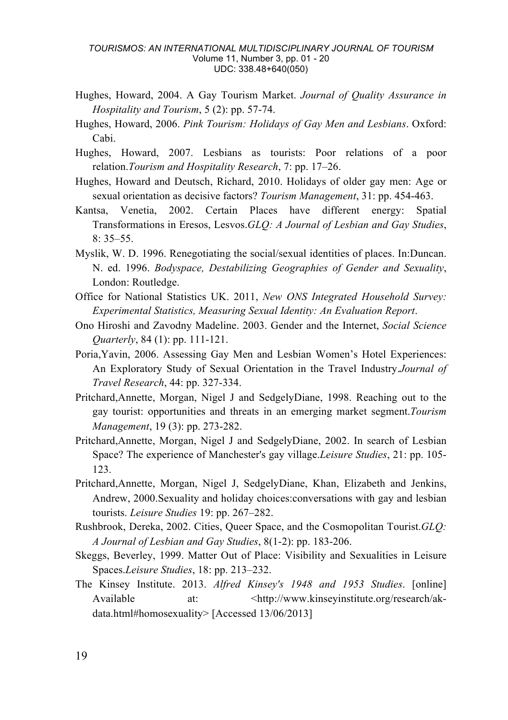- Hughes, Howard, 2004. A Gay Tourism Market. *Journal of Quality Assurance in Hospitality and Tourism*, 5 (2): pp. 57-74.
- Hughes, Howard, 2006. *Pink Tourism: Holidays of Gay Men and Lesbians*. Oxford: Cabi.
- Hughes, Howard, 2007. Lesbians as tourists: Poor relations of a poor relation.*Tourism and Hospitality Research*, 7: pp. 17–26.
- Hughes, Howard and Deutsch, Richard, 2010. Holidays of older gay men: Age or sexual orientation as decisive factors? *Tourism Management*, 31: pp. 454-463.
- Kantsa, Venetia, 2002. Certain Places have different energy: Spatial Transformations in Eresos, Lesvos.*GLQ: A Journal of Lesbian and Gay Studies*,  $8:35-55$
- Myslik, W. D. 1996. Renegotiating the social/sexual identities of places. In:Duncan. N. ed. 1996. *Bodyspace, Destabilizing Geographies of Gender and Sexuality*, London: Routledge.
- Office for National Statistics UK. 2011, *New ONS Integrated Household Survey: Experimental Statistics, Measuring Sexual Identity: An Evaluation Report*.
- Ono Hiroshi and Zavodny Madeline. 2003. Gender and the Internet, *Social Science Quarterly*, 84 (1): pp. 111-121.
- Poria,Yavin, 2006. Assessing Gay Men and Lesbian Women's Hotel Experiences: An Exploratory Study of Sexual Orientation in the Travel Industry.*Journal of Travel Research*, 44: pp. 327-334.
- Pritchard,Annette, Morgan, Nigel J and SedgelyDiane, 1998. Reaching out to the gay tourist: opportunities and threats in an emerging market segment.*Tourism Management*, 19 (3): pp. 273-282.
- Pritchard,Annette, Morgan, Nigel J and SedgelyDiane, 2002. In search of Lesbian Space? The experience of Manchester's gay village.*Leisure Studies*, 21: pp. 105- 123.
- Pritchard,Annette, Morgan, Nigel J, SedgelyDiane, Khan, Elizabeth and Jenkins, Andrew, 2000.Sexuality and holiday choices:conversations with gay and lesbian tourists. *Leisure Studies* 19: pp. 267–282.
- Rushbrook, Dereka, 2002. Cities, Queer Space, and the Cosmopolitan Tourist.*GLQ: A Journal of Lesbian and Gay Studies*, 8(1-2): pp. 183-206.
- Skeggs, Beverley, 1999. Matter Out of Place: Visibility and Sexualities in Leisure Spaces.*Leisure Studies*, 18: pp. 213–232.
- The Kinsey Institute. 2013. *Alfred Kinsey's 1948 and 1953 Studies*. [online] Available at:  $\langle \text{http://www.kinsevinstitute.org/research/ak-} \rangle$ data.html#homosexuality> [Accessed 13/06/2013]